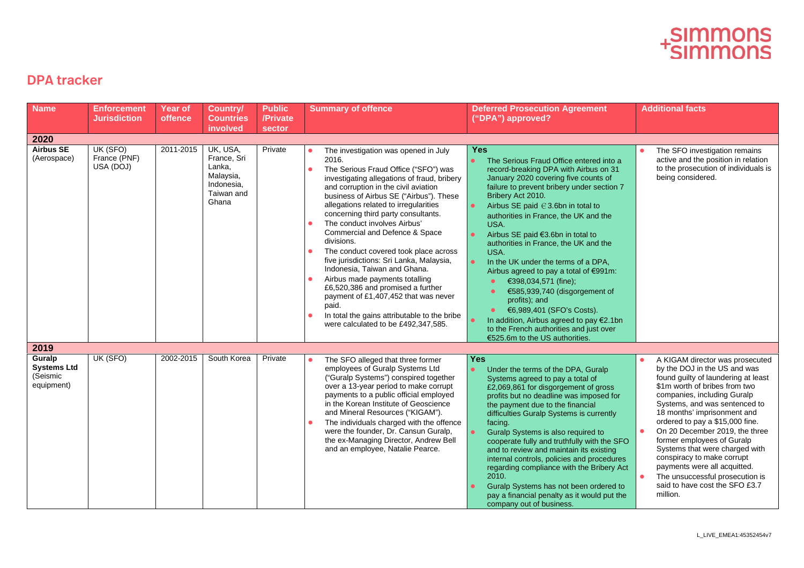## -SIMMONS<br><sup>+</sup>SIMMONS

## DPA tracker

| <b>Name</b>                                            | <b>Enforcement</b><br><b>Jurisdiction</b> | <b>Year of</b><br>offence | <b>Country/</b><br><b>Countries</b>                                                 | <b>Public</b><br>/Private | <b>Summary of offence</b>                                                                                                                                                                                                                                                                                                                                                                                                                                                                                                                                                                                                                                                                                                                                                                    | <b>Deferred Prosecution Agreement</b><br>("DPA") approved?                                                                                                                                                                                                                                                                                                                                                                                                                                                                                                                                                                                                                                                           | <b>Additional facts</b>                                                                                                                                                                                                                                                                                                                                                                                                                                                                                                                 |
|--------------------------------------------------------|-------------------------------------------|---------------------------|-------------------------------------------------------------------------------------|---------------------------|----------------------------------------------------------------------------------------------------------------------------------------------------------------------------------------------------------------------------------------------------------------------------------------------------------------------------------------------------------------------------------------------------------------------------------------------------------------------------------------------------------------------------------------------------------------------------------------------------------------------------------------------------------------------------------------------------------------------------------------------------------------------------------------------|----------------------------------------------------------------------------------------------------------------------------------------------------------------------------------------------------------------------------------------------------------------------------------------------------------------------------------------------------------------------------------------------------------------------------------------------------------------------------------------------------------------------------------------------------------------------------------------------------------------------------------------------------------------------------------------------------------------------|-----------------------------------------------------------------------------------------------------------------------------------------------------------------------------------------------------------------------------------------------------------------------------------------------------------------------------------------------------------------------------------------------------------------------------------------------------------------------------------------------------------------------------------------|
|                                                        |                                           |                           | involved                                                                            | sector                    |                                                                                                                                                                                                                                                                                                                                                                                                                                                                                                                                                                                                                                                                                                                                                                                              |                                                                                                                                                                                                                                                                                                                                                                                                                                                                                                                                                                                                                                                                                                                      |                                                                                                                                                                                                                                                                                                                                                                                                                                                                                                                                         |
| 2020<br><b>Airbus SE</b><br>(Aerospace)                | UK (SFO)<br>France (PNF)<br>USA (DOJ)     | 2011-2015                 | UK, USA,<br>France, Sri<br>Lanka,<br>Malaysia,<br>Indonesia.<br>Taiwan and<br>Ghana | Private                   | The investigation was opened in July<br>2016.<br>The Serious Fraud Office ("SFO") was<br>$\bullet$<br>investigating allegations of fraud, bribery<br>and corruption in the civil aviation<br>business of Airbus SE ("Airbus"). These<br>allegations related to irregularities<br>concerning third party consultants.<br>The conduct involves Airbus'<br>$\bullet$<br>Commercial and Defence & Space<br>divisions.<br>The conduct covered took place across<br>$\bullet$<br>five jurisdictions: Sri Lanka, Malaysia,<br>Indonesia, Taiwan and Ghana.<br>Airbus made payments totalling<br>$\bullet$<br>£6,520,386 and promised a further<br>payment of £1,407,452 that was never<br>paid.<br>In total the gains attributable to the bribe<br>$\bullet$<br>were calculated to be £492,347,585. | <b>Yes</b><br>The Serious Fraud Office entered into a<br>record-breaking DPA with Airbus on 31<br>January 2020 covering five counts of<br>failure to prevent bribery under section 7<br>Bribery Act 2010.<br>Airbus SE paid € 3.6bn in total to<br>authorities in France, the UK and the<br>USA.<br>Airbus SE paid €3.6bn in total to<br>authorities in France, the UK and the<br>USA.<br>$\bullet$<br>In the UK under the terms of a DPA,<br>Airbus agreed to pay a total of €991m:<br>€398,034,571 (fine);<br>€585,939,740 (disgorgement of<br>profits); and<br>€6,989,401 (SFO's Costs).<br>In addition, Airbus agreed to pay €2.1bn<br>to the French authorities and just over<br>€525.6m to the US authorities. | The SFO investigation remains<br>active and the position in relation<br>to the prosecution of individuals is<br>being considered.                                                                                                                                                                                                                                                                                                                                                                                                       |
| 2019                                                   |                                           |                           |                                                                                     |                           |                                                                                                                                                                                                                                                                                                                                                                                                                                                                                                                                                                                                                                                                                                                                                                                              |                                                                                                                                                                                                                                                                                                                                                                                                                                                                                                                                                                                                                                                                                                                      |                                                                                                                                                                                                                                                                                                                                                                                                                                                                                                                                         |
| Guralp<br><b>Systems Ltd</b><br>(Seismic<br>equipment) | UK (SFO)                                  | 2002-2015                 | South Korea                                                                         | Private                   | The SFO alleged that three former<br>٠<br>employees of Guralp Systems Ltd<br>("Guralp Systems") conspired together<br>over a 13-year period to make corrupt<br>payments to a public official employed<br>in the Korean Institute of Geoscience<br>and Mineral Resources ("KIGAM").<br>The individuals charged with the offence<br>$\bullet$<br>were the founder, Dr. Cansun Guralp,<br>the ex-Managing Director, Andrew Bell<br>and an employee, Natalie Pearce.                                                                                                                                                                                                                                                                                                                             | <b>Yes</b><br>Under the terms of the DPA, Guralp<br>$\bullet$<br>Systems agreed to pay a total of<br>£2,069,861 for disgorgement of gross<br>profits but no deadline was imposed for<br>the payment due to the financial<br>difficulties Guralp Systems is currently<br>facing.<br>Guralp Systems is also required to<br>cooperate fully and truthfully with the SFO<br>and to review and maintain its existing<br>internal controls, policies and procedures<br>regarding compliance with the Bribery Act<br>2010.<br>Guralp Systems has not been ordered to<br>pay a financial penalty as it would put the<br>company out of business.                                                                             | A KIGAM director was prosecuted<br>by the DOJ in the US and was<br>found guilty of laundering at least<br>\$1m worth of bribes from two<br>companies, including Guralp<br>Systems, and was sentenced to<br>18 months' imprisonment and<br>ordered to pay a \$15,000 fine.<br>$\bullet$<br>On 20 December 2019, the three<br>former employees of Guralp<br>Systems that were charged with<br>conspiracy to make corrupt<br>payments were all acquitted.<br>The unsuccessful prosecution is<br>said to have cost the SFO £3.7<br>million. |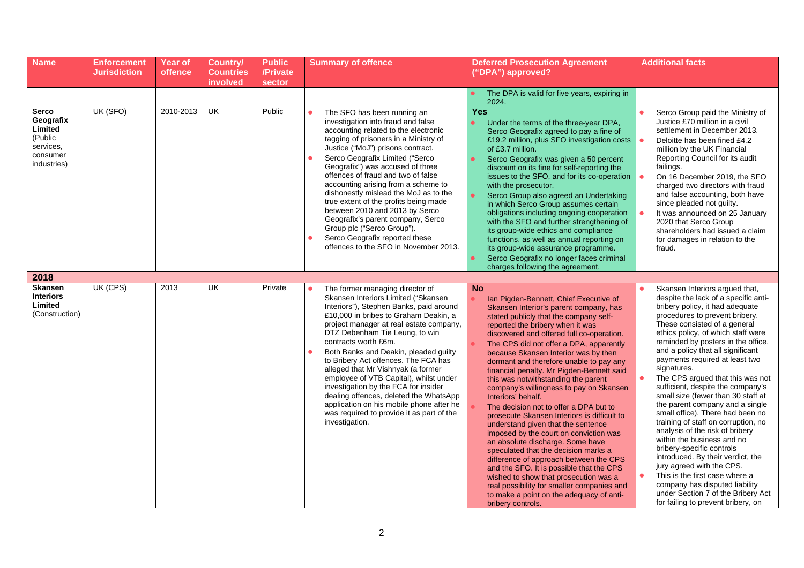| <b>Name</b>                                                                      | <b>Enforcement</b><br>Jurisdiction | <b>Year of</b><br>offence | <b>Country/</b><br><b>Countries</b><br>involved | <b>Public</b><br>/Private<br>sector | <b>Summary of offence</b>                                                                                                                                                                                                                                                                                                                                                                                                                                                                                                                                                                                                     | <b>Deferred Prosecution Agreement</b><br>("DPA") approved?                                                                                                                                                                                                                                                                                                                                                                                                                                                                                                                                                                                                                                                                                                                                                                                                                                                                                                                                                     | <b>Additional facts</b>                                                                                                                                                                                                                                                                                                                                                                                                                                                                                                                                                                                                                                                                                                                                                                                                                                                                    |
|----------------------------------------------------------------------------------|------------------------------------|---------------------------|-------------------------------------------------|-------------------------------------|-------------------------------------------------------------------------------------------------------------------------------------------------------------------------------------------------------------------------------------------------------------------------------------------------------------------------------------------------------------------------------------------------------------------------------------------------------------------------------------------------------------------------------------------------------------------------------------------------------------------------------|----------------------------------------------------------------------------------------------------------------------------------------------------------------------------------------------------------------------------------------------------------------------------------------------------------------------------------------------------------------------------------------------------------------------------------------------------------------------------------------------------------------------------------------------------------------------------------------------------------------------------------------------------------------------------------------------------------------------------------------------------------------------------------------------------------------------------------------------------------------------------------------------------------------------------------------------------------------------------------------------------------------|--------------------------------------------------------------------------------------------------------------------------------------------------------------------------------------------------------------------------------------------------------------------------------------------------------------------------------------------------------------------------------------------------------------------------------------------------------------------------------------------------------------------------------------------------------------------------------------------------------------------------------------------------------------------------------------------------------------------------------------------------------------------------------------------------------------------------------------------------------------------------------------------|
|                                                                                  |                                    |                           |                                                 |                                     |                                                                                                                                                                                                                                                                                                                                                                                                                                                                                                                                                                                                                               | The DPA is valid for five years, expiring in<br>2024.                                                                                                                                                                                                                                                                                                                                                                                                                                                                                                                                                                                                                                                                                                                                                                                                                                                                                                                                                          |                                                                                                                                                                                                                                                                                                                                                                                                                                                                                                                                                                                                                                                                                                                                                                                                                                                                                            |
| Serco<br>Geografix<br>Limited<br>(Public<br>services,<br>consumer<br>industries) | UK (SFO)                           | 2010-2013                 | UK                                              | Public                              | The SFO has been running an<br>$\bullet$<br>investigation into fraud and false<br>accounting related to the electronic<br>tagging of prisoners in a Ministry of<br>Justice ("MoJ") prisons contract.<br>Serco Geografix Limited ("Serco<br>Geografix") was accused of three<br>offences of fraud and two of false<br>accounting arising from a scheme to<br>dishonestly mislead the MoJ as to the<br>true extent of the profits being made<br>between 2010 and 2013 by Serco<br>Geografix's parent company, Serco<br>Group plc ("Serco Group").<br>Serco Geografix reported these<br>offences to the SFO in November 2013.    | <b>Yes</b><br>Under the terms of the three-year DPA,<br>$\bullet$<br>Serco Geografix agreed to pay a fine of<br>£19.2 million, plus SFO investigation costs<br>of £3.7 million.<br>$\bullet$<br>Serco Geografix was given a 50 percent<br>discount on its fine for self-reporting the<br>issues to the SFO, and for its co-operation<br>with the prosecutor.<br>$\bullet$<br>Serco Group also agreed an Undertaking<br>in which Serco Group assumes certain<br>obligations including ongoing cooperation<br>with the SFO and further strengthening of<br>its group-wide ethics and compliance<br>functions, as well as annual reporting on<br>its group-wide assurance programme.<br>Serco Geografix no longer faces criminal<br>$\bullet$<br>charges following the agreement.                                                                                                                                                                                                                                 | Serco Group paid the Ministry of<br>Justice £70 million in a civil<br>settlement in December 2013.<br>Deloitte has been fined £4.2<br>million by the UK Financial<br>Reporting Council for its audit<br>failings.<br>On 16 December 2019, the SFO<br>charged two directors with fraud<br>and false accounting, both have<br>since pleaded not guilty.<br>It was announced on 25 January<br>2020 that Serco Group<br>shareholders had issued a claim<br>for damages in relation to the<br>fraud.                                                                                                                                                                                                                                                                                                                                                                                            |
| 2018                                                                             |                                    |                           |                                                 |                                     |                                                                                                                                                                                                                                                                                                                                                                                                                                                                                                                                                                                                                               |                                                                                                                                                                                                                                                                                                                                                                                                                                                                                                                                                                                                                                                                                                                                                                                                                                                                                                                                                                                                                |                                                                                                                                                                                                                                                                                                                                                                                                                                                                                                                                                                                                                                                                                                                                                                                                                                                                                            |
| <b>Skansen</b><br><b>Interiors</b><br>Limited<br>(Construction)                  | UK (CPS)                           | 2013                      | <b>UK</b>                                       | Private                             | The former managing director of<br>Skansen Interiors Limited ("Skansen<br>Interiors"), Stephen Banks, paid around<br>£10,000 in bribes to Graham Deakin, a<br>project manager at real estate company,<br>DTZ Debenham Tie Leung, to win<br>contracts worth £6m.<br>Both Banks and Deakin, pleaded guilty<br>to Bribery Act offences. The FCA has<br>alleged that Mr Vishnyak (a former<br>employee of VTB Capital), whilst under<br>investigation by the FCA for insider<br>dealing offences, deleted the WhatsApp<br>application on his mobile phone after he<br>was required to provide it as part of the<br>investigation. | <b>No</b><br>Ian Pigden-Bennett, Chief Executive of<br>Skansen Interior's parent company, has<br>stated publicly that the company self-<br>reported the bribery when it was<br>discovered and offered full co-operation.<br>The CPS did not offer a DPA, apparently<br>because Skansen Interior was by then<br>dormant and therefore unable to pay any<br>financial penalty. Mr Pigden-Bennett said<br>this was notwithstanding the parent<br>company's willingness to pay on Skansen<br>Interiors' behalf.<br>The decision not to offer a DPA but to<br>prosecute Skansen Interiors is difficult to<br>understand given that the sentence<br>imposed by the court on conviction was<br>an absolute discharge. Some have<br>speculated that the decision marks a<br>difference of approach between the CPS<br>and the SFO. It is possible that the CPS<br>wished to show that prosecution was a<br>real possibility for smaller companies and<br>to make a point on the adequacy of anti-<br>bribery controls. | Skansen Interiors argued that,<br>despite the lack of a specific anti-<br>bribery policy, it had adequate<br>procedures to prevent bribery.<br>These consisted of a general<br>ethics policy, of which staff were<br>reminded by posters in the office,<br>and a policy that all significant<br>payments required at least two<br>signatures.<br>The CPS argued that this was not<br>sufficient, despite the company's<br>small size (fewer than 30 staff at<br>the parent company and a single<br>small office). There had been no<br>training of staff on corruption, no<br>analysis of the risk of bribery<br>within the business and no<br>bribery-specific controls<br>introduced. By their verdict, the<br>jury agreed with the CPS.<br>This is the first case where a<br>company has disputed liability<br>under Section 7 of the Bribery Act<br>for failing to prevent bribery, on |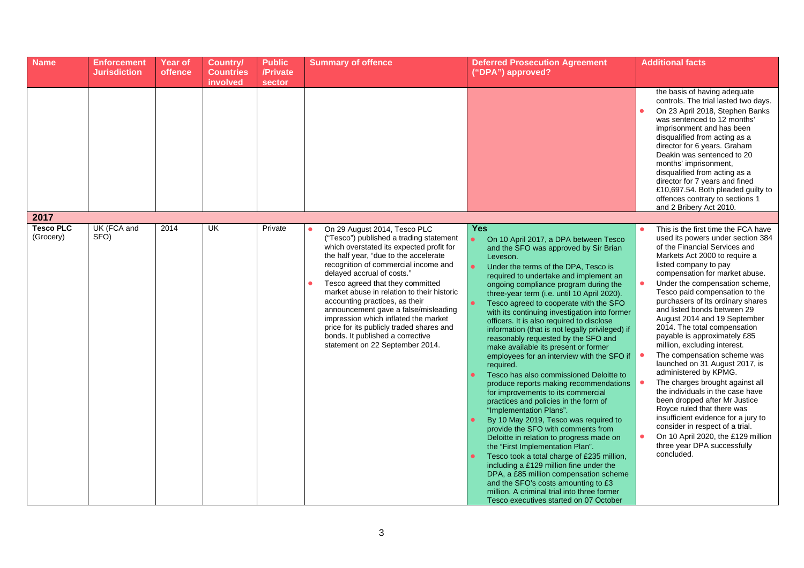| <b>Name</b>                   | <b>Enforcement</b><br><b>Jurisdiction</b> | <b>Year of</b><br><b>offence</b> | <b>Country/</b><br><b>Countries</b><br>involved | <b>Public</b><br>/Private<br><b>sector</b> | <b>Summary of offence</b>                                                                                                                                                                                                                                                                                                                                                                                                                                                                                                                                 | <b>Deferred Prosecution Agreement</b><br>("DPA") approved?                                                                                                                                                                                                                                                                                                                                                                                                                                                                                                                                                                                                                                                                                                                                                                                                                                                                                                                                                                                                                                                                                                                                                                                                                                                                             | <b>Additional facts</b>                                                                                                                                                                                                                                                                                                                                                                                                                                                                                                                                                                                                                                                                                                                                                                                                                                                    |
|-------------------------------|-------------------------------------------|----------------------------------|-------------------------------------------------|--------------------------------------------|-----------------------------------------------------------------------------------------------------------------------------------------------------------------------------------------------------------------------------------------------------------------------------------------------------------------------------------------------------------------------------------------------------------------------------------------------------------------------------------------------------------------------------------------------------------|----------------------------------------------------------------------------------------------------------------------------------------------------------------------------------------------------------------------------------------------------------------------------------------------------------------------------------------------------------------------------------------------------------------------------------------------------------------------------------------------------------------------------------------------------------------------------------------------------------------------------------------------------------------------------------------------------------------------------------------------------------------------------------------------------------------------------------------------------------------------------------------------------------------------------------------------------------------------------------------------------------------------------------------------------------------------------------------------------------------------------------------------------------------------------------------------------------------------------------------------------------------------------------------------------------------------------------------|----------------------------------------------------------------------------------------------------------------------------------------------------------------------------------------------------------------------------------------------------------------------------------------------------------------------------------------------------------------------------------------------------------------------------------------------------------------------------------------------------------------------------------------------------------------------------------------------------------------------------------------------------------------------------------------------------------------------------------------------------------------------------------------------------------------------------------------------------------------------------|
|                               |                                           |                                  |                                                 |                                            |                                                                                                                                                                                                                                                                                                                                                                                                                                                                                                                                                           |                                                                                                                                                                                                                                                                                                                                                                                                                                                                                                                                                                                                                                                                                                                                                                                                                                                                                                                                                                                                                                                                                                                                                                                                                                                                                                                                        | the basis of having adequate<br>controls. The trial lasted two days.<br>On 23 April 2018, Stephen Banks<br>was sentenced to 12 months'<br>imprisonment and has been<br>disqualified from acting as a<br>director for 6 years. Graham<br>Deakin was sentenced to 20<br>months' imprisonment,<br>disqualified from acting as a<br>director for 7 years and fined<br>£10,697.54. Both pleaded guilty to<br>offences contrary to sections 1<br>and 2 Bribery Act 2010.                                                                                                                                                                                                                                                                                                                                                                                                         |
| 2017                          |                                           |                                  |                                                 |                                            |                                                                                                                                                                                                                                                                                                                                                                                                                                                                                                                                                           |                                                                                                                                                                                                                                                                                                                                                                                                                                                                                                                                                                                                                                                                                                                                                                                                                                                                                                                                                                                                                                                                                                                                                                                                                                                                                                                                        |                                                                                                                                                                                                                                                                                                                                                                                                                                                                                                                                                                                                                                                                                                                                                                                                                                                                            |
| <b>Tesco PLC</b><br>(Grocery) | UK (FCA and<br>SFO)                       | 2014                             | UK                                              | Private                                    | On 29 August 2014, Tesco PLC<br>("Tesco") published a trading statement<br>which overstated its expected profit for<br>the half year, "due to the accelerate<br>recognition of commercial income and<br>delayed accrual of costs."<br>Tesco agreed that they committed<br>market abuse in relation to their historic<br>accounting practices, as their<br>announcement gave a false/misleading<br>impression which inflated the market<br>price for its publicly traded shares and<br>bonds. It published a corrective<br>statement on 22 September 2014. | <b>Yes</b><br>$\bullet$<br>On 10 April 2017, a DPA between Tesco<br>and the SFO was approved by Sir Brian<br>Leveson.<br>$\bullet$<br>Under the terms of the DPA, Tesco is<br>required to undertake and implement an<br>ongoing compliance program during the<br>three-year term (i.e. until 10 April 2020).<br>$\bullet$<br>Tesco agreed to cooperate with the SFO<br>with its continuing investigation into former<br>officers. It is also required to disclose<br>information (that is not legally privileged) if<br>reasonably requested by the SFO and<br>make available its present or former<br>employees for an interview with the SFO if<br>required.<br>Tesco has also commissioned Deloitte to<br>$\bullet$<br>produce reports making recommendations<br>for improvements to its commercial<br>practices and policies in the form of<br>"Implementation Plans".<br>By 10 May 2019, Tesco was required to<br>$\bullet$<br>provide the SFO with comments from<br>Deloitte in relation to progress made on<br>the "First Implementation Plan".<br>$\bullet$<br>Tesco took a total charge of £235 million,<br>including a £129 million fine under the<br>DPA, a £85 million compensation scheme<br>and the SFO's costs amounting to £3<br>million. A criminal trial into three former<br>Tesco executives started on 07 October | This is the first time the FCA have<br>used its powers under section 384<br>of the Financial Services and<br>Markets Act 2000 to require a<br>listed company to pay<br>compensation for market abuse.<br>Under the compensation scheme,<br>Tesco paid compensation to the<br>purchasers of its ordinary shares<br>and listed bonds between 29<br>August 2014 and 19 September<br>2014. The total compensation<br>payable is approximately £85<br>million, excluding interest.<br>The compensation scheme was<br>launched on 31 August 2017, is<br>administered by KPMG.<br>The charges brought against all<br>the individuals in the case have<br>been dropped after Mr Justice<br>Royce ruled that there was<br>insufficient evidence for a jury to<br>consider in respect of a trial.<br>On 10 April 2020, the £129 million<br>three year DPA successfully<br>concluded. |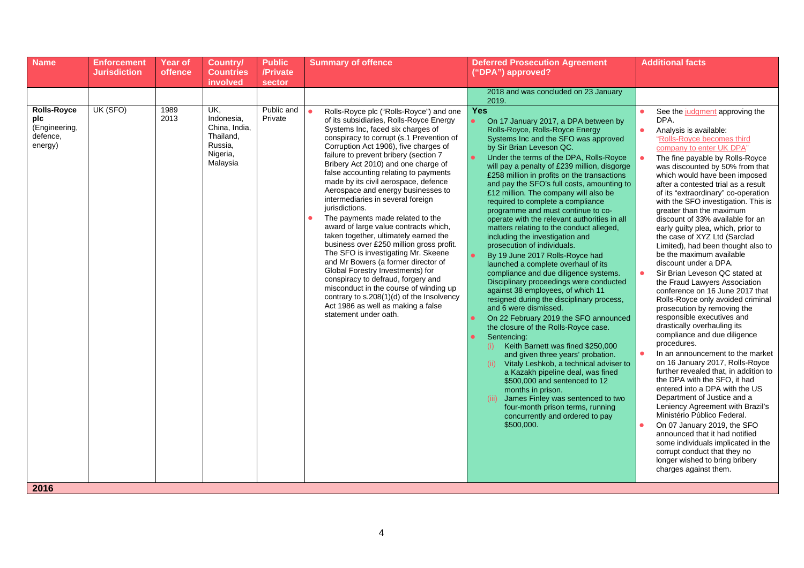| <b>Name</b>                                                       | <b>Enforcement</b><br><b>Jurisdiction</b> | <b>Year of</b><br>offence | <b>Country/</b><br><b>Countries</b>                                                            | <b>Public</b><br>/Private       | <b>Summary of offence</b>                                                                                                                                                                                                                                                                                                                                                                                                                                                                                                                                                                                                                                  | <b>Deferred Prosecution Agreement</b><br>("DPA") approved?                                                                                                                                                                                                                                                                                                                                                                                                                                                                                                                                                                                                                                                                                                                                                                                                                                                                                                                                                                                                                                                                                                                      | <b>Additional facts</b>                                                                                                                                                                                                                                                                                                                                                                                                                                                                                                                                                                                                                                                                                                                                                                                                                                                                                                                                                                                                                                                                                                                                                                            |
|-------------------------------------------------------------------|-------------------------------------------|---------------------------|------------------------------------------------------------------------------------------------|---------------------------------|------------------------------------------------------------------------------------------------------------------------------------------------------------------------------------------------------------------------------------------------------------------------------------------------------------------------------------------------------------------------------------------------------------------------------------------------------------------------------------------------------------------------------------------------------------------------------------------------------------------------------------------------------------|---------------------------------------------------------------------------------------------------------------------------------------------------------------------------------------------------------------------------------------------------------------------------------------------------------------------------------------------------------------------------------------------------------------------------------------------------------------------------------------------------------------------------------------------------------------------------------------------------------------------------------------------------------------------------------------------------------------------------------------------------------------------------------------------------------------------------------------------------------------------------------------------------------------------------------------------------------------------------------------------------------------------------------------------------------------------------------------------------------------------------------------------------------------------------------|----------------------------------------------------------------------------------------------------------------------------------------------------------------------------------------------------------------------------------------------------------------------------------------------------------------------------------------------------------------------------------------------------------------------------------------------------------------------------------------------------------------------------------------------------------------------------------------------------------------------------------------------------------------------------------------------------------------------------------------------------------------------------------------------------------------------------------------------------------------------------------------------------------------------------------------------------------------------------------------------------------------------------------------------------------------------------------------------------------------------------------------------------------------------------------------------------|
|                                                                   |                                           |                           |                                                                                                |                                 |                                                                                                                                                                                                                                                                                                                                                                                                                                                                                                                                                                                                                                                            |                                                                                                                                                                                                                                                                                                                                                                                                                                                                                                                                                                                                                                                                                                                                                                                                                                                                                                                                                                                                                                                                                                                                                                                 |                                                                                                                                                                                                                                                                                                                                                                                                                                                                                                                                                                                                                                                                                                                                                                                                                                                                                                                                                                                                                                                                                                                                                                                                    |
| <b>Rolls-Royce</b><br>plc<br>(Engineering,<br>defence.<br>energy) | UK (SFO)                                  | 1989<br>2013              | involved<br>UK,<br>Indonesia,<br>China, India,<br>Thailand,<br>Russia,<br>Nigeria,<br>Malaysia | sector<br>Public and<br>Private | Rolls-Royce plc ("Rolls-Royce") and one<br>of its subsidiaries, Rolls-Royce Energy<br>Systems Inc, faced six charges of<br>conspiracy to corrupt (s.1 Prevention of<br>Corruption Act 1906), five charges of<br>failure to prevent bribery (section 7<br>Bribery Act 2010) and one charge of                                                                                                                                                                                                                                                                                                                                                               | 2018 and was concluded on 23 January<br>2019.<br><b>Yes</b><br>$\bullet$<br>On 17 January 2017, a DPA between by<br>Rolls-Royce, Rolls-Royce Energy<br>Systems Inc and the SFO was approved<br>by Sir Brian Leveson QC.<br>$\bullet$<br>Under the terms of the DPA, Rolls-Royce                                                                                                                                                                                                                                                                                                                                                                                                                                                                                                                                                                                                                                                                                                                                                                                                                                                                                                 | See the judgment approving the<br>DPA.<br>Analysis is available:<br>"Rolls-Royce becomes third<br>company to enter UK DPA"<br>The fine payable by Rolls-Royce                                                                                                                                                                                                                                                                                                                                                                                                                                                                                                                                                                                                                                                                                                                                                                                                                                                                                                                                                                                                                                      |
| 2016                                                              |                                           |                           |                                                                                                |                                 | false accounting relating to payments<br>made by its civil aerospace, defence<br>Aerospace and energy businesses to<br>intermediaries in several foreign<br>jurisdictions.<br>The payments made related to the<br>award of large value contracts which,<br>taken together, ultimately earned the<br>business over £250 million gross profit.<br>The SFO is investigating Mr. Skeene<br>and Mr Bowers (a former director of<br>Global Forestry Investments) for<br>conspiracy to defraud, forgery and<br>misconduct in the course of winding up<br>contrary to s.208(1)(d) of the Insolvency<br>Act 1986 as well as making a false<br>statement under oath. | will pay a penalty of £239 million, disgorge<br>£258 million in profits on the transactions<br>and pay the SFO's full costs, amounting to<br>£12 million. The company will also be<br>required to complete a compliance<br>programme and must continue to co-<br>operate with the relevant authorities in all<br>matters relating to the conduct alleged,<br>including the investigation and<br>prosecution of individuals.<br>$\bullet$<br>By 19 June 2017 Rolls-Royce had<br>launched a complete overhaul of its<br>compliance and due diligence systems.<br>Disciplinary proceedings were conducted<br>against 38 employees, of which 11<br>resigned during the disciplinary process,<br>and 6 were dismissed.<br>On 22 February 2019 the SFO announced<br>the closure of the Rolls-Royce case.<br>Sentencing:<br>Keith Barnett was fined \$250,000<br>(i)<br>and given three years' probation.<br>Vitaly Leshkob, a technical adviser to<br>(ii)<br>a Kazakh pipeline deal, was fined<br>\$500,000 and sentenced to 12<br>months in prison.<br>(iii) James Finley was sentenced to two<br>four-month prison terms, running<br>concurrently and ordered to pay<br>\$500,000. | was discounted by 50% from that<br>which would have been imposed<br>after a contested trial as a result<br>of its "extraordinary" co-operation<br>with the SFO investigation. This is<br>greater than the maximum<br>discount of 33% available for an<br>early guilty plea, which, prior to<br>the case of XYZ Ltd (Sarclad<br>Limited), had been thought also to<br>be the maximum available<br>discount under a DPA.<br>Sir Brian Leveson QC stated at<br>the Fraud Lawyers Association<br>conference on 16 June 2017 that<br>Rolls-Royce only avoided criminal<br>prosecution by removing the<br>responsible executives and<br>drastically overhauling its<br>compliance and due diligence<br>procedures.<br>In an announcement to the market<br>on 16 January 2017, Rolls-Royce<br>further revealed that, in addition to<br>the DPA with the SFO, it had<br>entered into a DPA with the US<br>Department of Justice and a<br>Leniency Agreement with Brazil's<br>Ministério Público Federal.<br>On 07 January 2019, the SFO<br>announced that it had notified<br>some individuals implicated in the<br>corrupt conduct that they no<br>longer wished to bring bribery<br>charges against them. |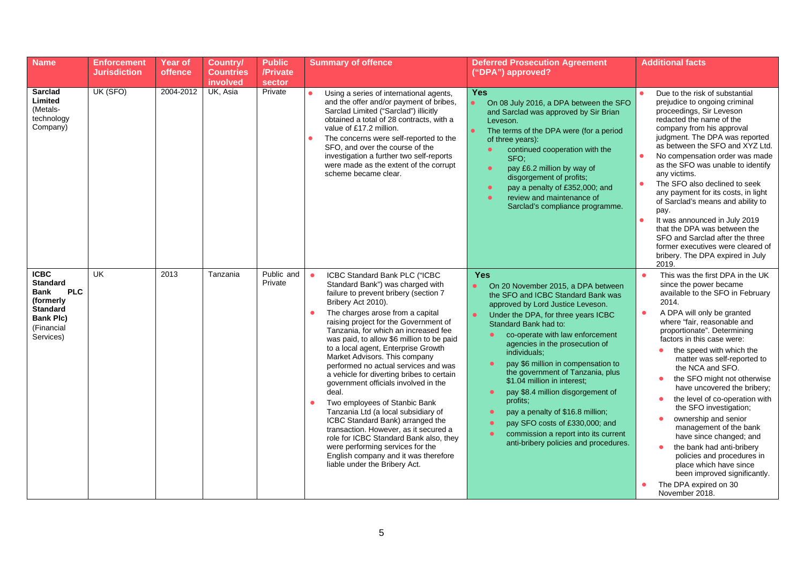| <b>Name</b>                                                                                                                                | <b>Enforcement</b><br><b>Jurisdiction</b> | <b>Year of</b><br><b>offence</b> | <b>Country/</b><br><b>Countries</b><br>involved | <b>Public</b><br>/Private<br><b>sector</b> | <b>Summary of offence</b>                                                                                                                                                                                                                                                                                                                                                                                                                                                                                                                                                                                                                                                                                                                                                                                                                              | <b>Deferred Prosecution Agreement</b><br>("DPA") approved?                                                                                                                                                                                                                                                                                                                                                                                                                                                                                                                                                                               | <b>Additional facts</b>                                                                                                                                                                                                                                                                                                                                                                                                                                                                                                                                                                                                                                                                                                             |
|--------------------------------------------------------------------------------------------------------------------------------------------|-------------------------------------------|----------------------------------|-------------------------------------------------|--------------------------------------------|--------------------------------------------------------------------------------------------------------------------------------------------------------------------------------------------------------------------------------------------------------------------------------------------------------------------------------------------------------------------------------------------------------------------------------------------------------------------------------------------------------------------------------------------------------------------------------------------------------------------------------------------------------------------------------------------------------------------------------------------------------------------------------------------------------------------------------------------------------|------------------------------------------------------------------------------------------------------------------------------------------------------------------------------------------------------------------------------------------------------------------------------------------------------------------------------------------------------------------------------------------------------------------------------------------------------------------------------------------------------------------------------------------------------------------------------------------------------------------------------------------|-------------------------------------------------------------------------------------------------------------------------------------------------------------------------------------------------------------------------------------------------------------------------------------------------------------------------------------------------------------------------------------------------------------------------------------------------------------------------------------------------------------------------------------------------------------------------------------------------------------------------------------------------------------------------------------------------------------------------------------|
| <b>Sarclad</b><br>Limited<br>(Metals-<br>technology<br>Company)                                                                            | UK (SFO)                                  | 2004-2012                        | UK, Asia                                        | Private                                    | Using a series of international agents,<br>and the offer and/or payment of bribes,<br>Sarclad Limited ("Sarclad") illicitly<br>obtained a total of 28 contracts, with a<br>value of £17.2 million.<br>The concerns were self-reported to the<br>SFO, and over the course of the<br>investigation a further two self-reports<br>were made as the extent of the corrupt<br>scheme became clear.                                                                                                                                                                                                                                                                                                                                                                                                                                                          | <b>Yes</b><br>$\bullet$<br>On 08 July 2016, a DPA between the SFO<br>and Sarclad was approved by Sir Brian<br>Leveson.<br>$\bullet$<br>The terms of the DPA were (for a period<br>of three years):<br>continued cooperation with the<br>SFO:<br>pay £6.2 million by way of<br>$\bullet$<br>disgorgement of profits;<br>pay a penalty of £352,000; and<br>review and maintenance of<br>Sarclad's compliance programme.                                                                                                                                                                                                                    | Due to the risk of substantial<br>prejudice to ongoing criminal<br>proceedings, Sir Leveson<br>redacted the name of the<br>company from his approval<br>judgment. The DPA was reported<br>as between the SFO and XYZ Ltd.<br>No compensation order was made<br>as the SFO was unable to identify<br>any victims.<br>The SFO also declined to seek<br>any payment for its costs, in light<br>of Sarclad's means and ability to<br>pay.<br>It was announced in July 2019<br>that the DPA was between the<br>SFO and Sarclad after the three<br>former executives were cleared of<br>bribery. The DPA expired in July<br>2019.                                                                                                         |
| <b>ICBC</b><br><b>Standard</b><br><b>PLC</b><br><b>Bank</b><br>(formerly<br><b>Standard</b><br><b>Bank Plc)</b><br>(Financial<br>Services) | <b>UK</b>                                 | 2013                             | Tanzania                                        | Public and<br>Private                      | $\bullet$<br>ICBC Standard Bank PLC ("ICBC<br>Standard Bank") was charged with<br>failure to prevent bribery (section 7<br>Bribery Act 2010).<br>The charges arose from a capital<br>$\bullet$<br>raising project for the Government of<br>Tanzania, for which an increased fee<br>was paid, to allow \$6 million to be paid<br>to a local agent, Enterprise Growth<br>Market Advisors. This company<br>performed no actual services and was<br>a vehicle for diverting bribes to certain<br>government officials involved in the<br>deal.<br>Two employees of Stanbic Bank<br>Tanzania Ltd (a local subsidiary of<br>ICBC Standard Bank) arranged the<br>transaction. However, as it secured a<br>role for ICBC Standard Bank also, they<br>were performing services for the<br>English company and it was therefore<br>liable under the Bribery Act. | <b>Yes</b><br>On 20 November 2015, a DPA between<br>$\bullet$<br>the SFO and ICBC Standard Bank was<br>approved by Lord Justice Leveson.<br>$\bullet$<br>Under the DPA, for three years ICBC<br>Standard Bank had to:<br>co-operate with law enforcement<br>agencies in the prosecution of<br>individuals;<br>pay \$6 million in compensation to<br>the government of Tanzania, plus<br>\$1.04 million in interest;<br>pay \$8.4 million disgorgement of<br>$\bullet$<br>profits;<br>pay a penalty of \$16.8 million;<br>pay SFO costs of £330,000; and<br>commission a report into its current<br>anti-bribery policies and procedures. | This was the first DPA in the UK<br>$\bullet$<br>since the power became<br>available to the SFO in February<br>2014.<br>A DPA will only be granted<br>$\bullet$<br>where "fair, reasonable and<br>proportionate". Determining<br>factors in this case were:<br>the speed with which the<br>matter was self-reported to<br>the NCA and SFO.<br>the SFO might not otherwise<br>$\bullet$<br>have uncovered the bribery;<br>the level of co-operation with<br>the SFO investigation;<br>ownership and senior<br>٠<br>management of the bank<br>have since changed; and<br>the bank had anti-bribery<br>policies and procedures in<br>place which have since<br>been improved significantly.<br>The DPA expired on 30<br>November 2018. |